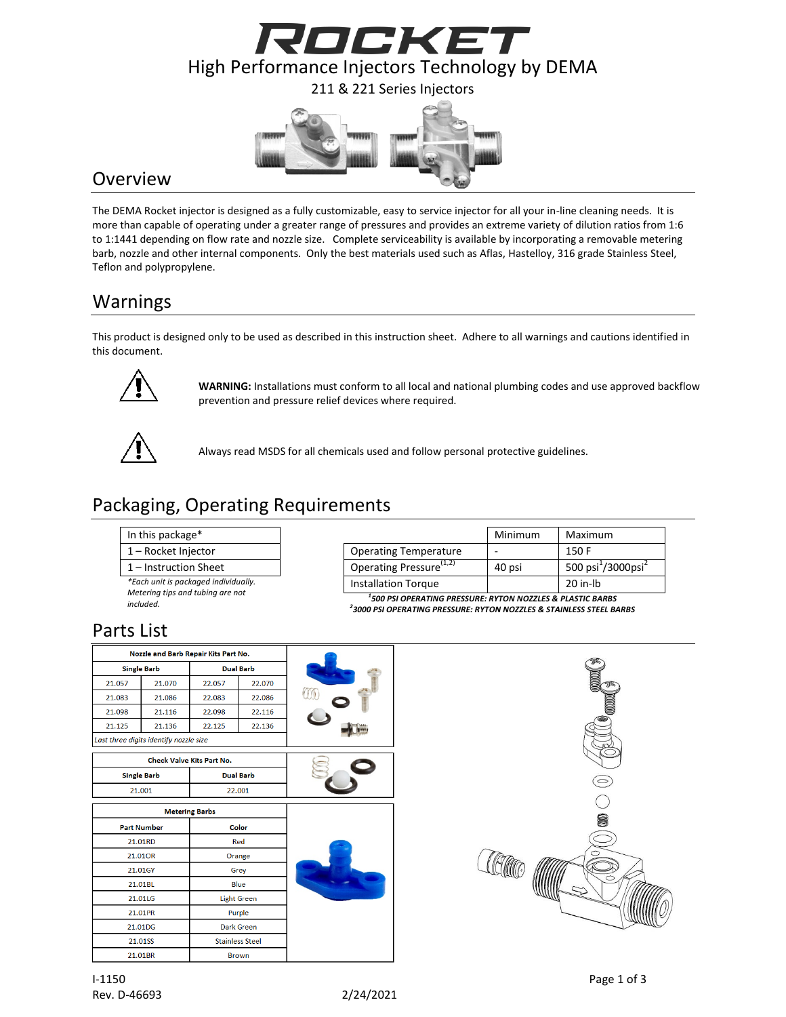



### **Overview**

The DEMA Rocket injector is designed as a fully customizable, easy to service injector for all your in-line cleaning needs. It is more than capable of operating under a greater range of pressures and provides an extreme variety of dilution ratios from 1:6 to 1:1441 depending on flow rate and nozzle size. Complete serviceability is available by incorporating a removable metering barb, nozzle and other internal components. Only the best materials used such as Aflas, Hastelloy, 316 grade Stainless Steel, Teflon and polypropylene.

# Warnings

This product is designed only to be used as described in this instruction sheet. Adhere to all warnings and cautions identified in this document.



**WARNING:** Installations must conform to all local and national plumbing codes and use approved backflow prevention and pressure relief devices where required.



Always read MSDS for all chemicals used and follow personal protective guidelines.

# Packaging, Operating Requirements

#### In this package\*

- $1 -$  Rocket Injector
- $1$  Instruction Sheet

*\*Each unit is packaged individually. Metering tips and tubing are not* 

*included.*

|                                     | Minimum | Maximum                                    |
|-------------------------------------|---------|--------------------------------------------|
| <b>Operating Temperature</b>        |         | 150 F                                      |
| Operating Pressure <sup>(1,2)</sup> | 40 psi  | 500 psi <sup>1</sup> /3000psi <sup>2</sup> |
| <b>Installation Torque</b>          |         | $20$ in-lb                                 |

*1 500 PSI OPERATING PRESSURE: RYTON NOZZLES & PLASTIC BARBS 2 3000 PSI OPERATING PRESSURE: RYTON NOZZLES & STAINLESS STEEL BARBS*

# Parts List

|                                                          |  | Nozzle and Barb Repair Kits Part No.   |                       |                        |  |
|----------------------------------------------------------|--|----------------------------------------|-----------------------|------------------------|--|
|                                                          |  | <b>Single Barb</b>                     |                       | <b>Dual Barb</b>       |  |
| 21.057<br>21.070<br>21.083<br>21.086<br>21.098<br>21.116 |  | 22.070<br>22.057<br>22.083<br>22.086   |                       |                        |  |
|                                                          |  |                                        |                       |                        |  |
|                                                          |  | 22.098                                 | 22.116                |                        |  |
| 21.125<br>21.136                                         |  |                                        | 22.125                | 22.136                 |  |
|                                                          |  | Last three digits identify nozzle size |                       |                        |  |
|                                                          |  | <b>Check Valve Kits Part No.</b>       |                       |                        |  |
| <b>Single Barb</b>                                       |  |                                        |                       | <b>Dual Barb</b>       |  |
| 21.001                                                   |  |                                        | 22.001                |                        |  |
|                                                          |  |                                        | <b>Metering Barbs</b> |                        |  |
|                                                          |  | <b>Part Number</b>                     |                       | Color                  |  |
| 21.01RD                                                  |  |                                        |                       | Red                    |  |
| 21.01OR                                                  |  |                                        | Orange                |                        |  |
| 21.01GY                                                  |  |                                        | Grey                  |                        |  |
| 21.01BL                                                  |  |                                        | Blue                  |                        |  |
| 21.01LG                                                  |  |                                        |                       | <b>Light Green</b>     |  |
| 21.01PR                                                  |  |                                        |                       | Purple                 |  |
| 21.01DG                                                  |  |                                        |                       | <b>Dark Green</b>      |  |
| 21.01SS                                                  |  |                                        |                       | <b>Stainless Steel</b> |  |
| 21.01BR                                                  |  |                                        |                       | <b>Brown</b>           |  |
|                                                          |  |                                        |                       |                        |  |

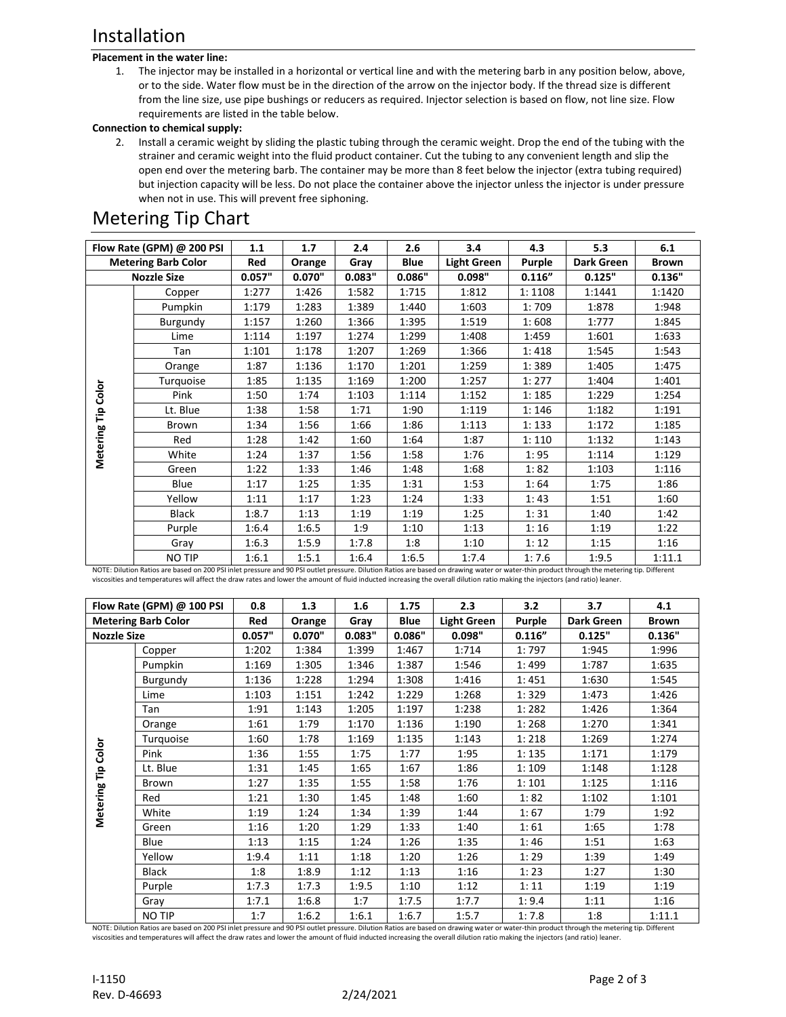## Installation

#### **Placement in the water line:**

1. The injector may be installed in a horizontal or vertical line and with the metering barb in any position below, above, or to the side. Water flow must be in the direction of the arrow on the injector body. If the thread size is different from the line size, use pipe bushings or reducers as required. Injector selection is based on flow, not line size. Flow requirements are listed in the table below.

#### **Connection to chemical supply:**

2. Install a ceramic weight by sliding the plastic tubing through the ceramic weight. Drop the end of the tubing with the strainer and ceramic weight into the fluid product container. Cut the tubing to any convenient length and slip the open end over the metering barb. The container may be more than 8 feet below the injector (extra tubing required) but injection capacity will be less. Do not place the container above the injector unless the injector is under pressure when not in use. This will prevent free siphoning.

## Metering Tip Chart

|                            | Flow Rate (GPM) @ 200 PSI | 1.1    | 1.7    | 2.4    | 2.6         | 3.4                | 4.3     | 5.3        | 6.1          |
|----------------------------|---------------------------|--------|--------|--------|-------------|--------------------|---------|------------|--------------|
| <b>Metering Barb Color</b> |                           | Red    | Orange | Gray   | <b>Blue</b> | <b>Light Green</b> | Purple  | Dark Green | <b>Brown</b> |
|                            | <b>Nozzle Size</b>        | 0.057" | 0.070" | 0.083" | 0.086"      | 0.098"             | 0.116'' | 0.125"     | 0.136"       |
|                            | Copper                    | 1:277  | 1:426  | 1:582  | 1:715       | 1:812              | 1:1108  | 1:1441     | 1:1420       |
|                            | Pumpkin                   | 1:179  | 1:283  | 1:389  | 1:440       | 1:603              | 1:709   | 1:878      | 1:948        |
|                            | Burgundy                  | 1:157  | 1:260  | 1:366  | 1:395       | 1:519              | 1:608   | 1:777      | 1:845        |
|                            | Lime                      | 1:114  | 1:197  | 1:274  | 1:299       | 1:408              | 1:459   | 1:601      | 1:633        |
|                            | Tan                       | 1:101  | 1:178  | 1:207  | 1:269       | 1:366              | 1:418   | 1:545      | 1:543        |
|                            | Orange                    | 1:87   | 1:136  | 1:170  | 1:201       | 1:259              | 1:389   | 1:405      | 1:475        |
|                            | Turquoise                 | 1:85   | 1:135  | 1:169  | 1:200       | 1:257              | 1:277   | 1:404      | 1:401        |
| Tip Color                  | Pink                      | 1:50   | 1:74   | 1:103  | 1:114       | 1:152              | 1:185   | 1:229      | 1:254        |
|                            | Lt. Blue                  | 1:38   | 1:58   | 1:71   | 1:90        | 1:119              | 1:146   | 1:182      | 1:191        |
|                            | Brown                     | 1:34   | 1:56   | 1:66   | 1:86        | 1:113              | 1:133   | 1:172      | 1:185        |
| Metering                   | Red                       | 1:28   | 1:42   | 1:60   | 1:64        | 1:87               | 1:110   | 1:132      | 1:143        |
|                            | White                     | 1:24   | 1:37   | 1:56   | 1:58        | 1:76               | 1:95    | 1:114      | 1:129        |
|                            | Green                     | 1:22   | 1:33   | 1:46   | 1:48        | 1:68               | 1:82    | 1:103      | 1:116        |
|                            | Blue                      | 1:17   | 1:25   | 1:35   | 1:31        | 1:53               | 1:64    | 1:75       | 1:86         |
|                            | Yellow                    | 1:11   | 1:17   | 1:23   | 1:24        | 1:33               | 1:43    | 1:51       | 1:60         |
|                            | <b>Black</b>              | 1:8.7  | 1:13   | 1:19   | 1:19        | 1:25               | 1:31    | 1:40       | 1:42         |
|                            | Purple                    | 1:6.4  | 1:6.5  | 1:9    | 1:10        | 1:13               | 1:16    | 1:19       | 1:22         |
|                            | Gray                      | 1:6.3  | 1:5.9  | 1:7.8  | 1:8         | 1:10               | 1:12    | 1:15       | 1:16         |
|                            | NO TIP                    | 1:6.1  | 1:5.1  | 1:6.4  | 1:6.5       | 1:7.4              | 1:7.6   | 1:9.5      | 1:11.1       |

NOTE: Dilution Ratios are based on 200 PSI inlet pressure and 90 PSI outlet pressure. Dilution Ratios are based on drawing water or water-thin product through the metering tip. Different viscosities and temperatures will affect the draw rates and lower the amount of fluid inducted increasing the overall dilution ratio making the injectors (and ratio) leaner.

|                            | Flow Rate (GPM) @ 100 PSI | 0.8    | 1.3    | 1.6    | 1.75        | 2.3                | 3.2     | 3.7        | 4.1          |
|----------------------------|---------------------------|--------|--------|--------|-------------|--------------------|---------|------------|--------------|
| <b>Metering Barb Color</b> |                           | Red    | Orange | Gray   | <b>Blue</b> | <b>Light Green</b> | Purple  | Dark Green | <b>Brown</b> |
| <b>Nozzle Size</b>         |                           | 0.057" | 0.070" | 0.083" | 0.086"      | 0.098"             | 0.116'' | 0.125"     | 0.136"       |
|                            | Copper                    | 1:202  | 1:384  | 1:399  | 1:467       | 1:714              | 1:797   | 1:945      | 1:996        |
|                            | Pumpkin                   | 1:169  | 1:305  | 1:346  | 1:387       | 1:546              | 1:499   | 1:787      | 1:635        |
|                            | Burgundy                  | 1:136  | 1:228  | 1:294  | 1:308       | 1:416              | 1:451   | 1:630      | 1:545        |
|                            | Lime                      | 1:103  | 1:151  | 1:242  | 1:229       | 1:268              | 1:329   | 1:473      | 1:426        |
|                            | Tan                       | 1:91   | 1:143  | 1:205  | 1:197       | 1:238              | 1:282   | 1:426      | 1:364        |
|                            | Orange                    | 1:61   | 1:79   | 1:170  | 1:136       | 1:190              | 1:268   | 1:270      | 1:341        |
|                            | Turquoise                 | 1:60   | 1:78   | 1:169  | 1:135       | 1:143              | 1:218   | 1:269      | 1:274        |
| Color                      | Pink                      | 1:36   | 1:55   | 1:75   | 1:77        | 1:95               | 1:135   | 1:171      | 1:179        |
|                            | Lt. Blue                  | 1:31   | 1:45   | 1:65   | 1:67        | 1:86               | 1:109   | 1:148      | 1:128        |
| Metering Tip               | Brown                     | 1:27   | 1:35   | 1:55   | 1:58        | 1:76               | 1:101   | 1:125      | 1:116        |
|                            | Red                       | 1:21   | 1:30   | 1:45   | 1:48        | 1:60               | 1:82    | 1:102      | 1:101        |
|                            | White                     | 1:19   | 1:24   | 1:34   | 1:39        | 1:44               | 1:67    | 1:79       | 1:92         |
|                            | Green                     | 1:16   | 1:20   | 1:29   | 1:33        | 1:40               | 1:61    | 1:65       | 1:78         |
|                            | Blue                      | 1:13   | 1:15   | 1:24   | 1:26        | 1:35               | 1:46    | 1:51       | 1:63         |
|                            | Yellow                    | 1:9.4  | 1:11   | 1:18   | 1:20        | 1:26               | 1:29    | 1:39       | 1:49         |
|                            | Black                     | 1:8    | 1:8.9  | 1:12   | 1:13        | 1:16               | 1:23    | 1:27       | 1:30         |
|                            | Purple                    | 1:7.3  | 1:7.3  | 1:9.5  | 1:10        | 1:12               | 1:11    | 1:19       | 1:19         |
|                            | Gray                      | 1:7.1  | 1:6.8  | 1:7    | 1:7.5       | 1:7.7              | 1:9.4   | 1:11       | 1:16         |
|                            | NO TIP                    | 1:7    | 1:6.2  | 1:6.1  | 1:6.7       | 1:5.7              | 1:7.8   | 1:8        | 1:11.1       |

NOTE: Dilution Ratios are based on 200 PSI inlet pressure and 90 PSI outlet pressure. Dilution Ratios are based on drawing water or water-thin product through the metering tip. Different viscosities and temperatures will affect the draw rates and lower the amount of fluid inducted increasing the overall dilution ratio making the injectors (and ratio) leaner.